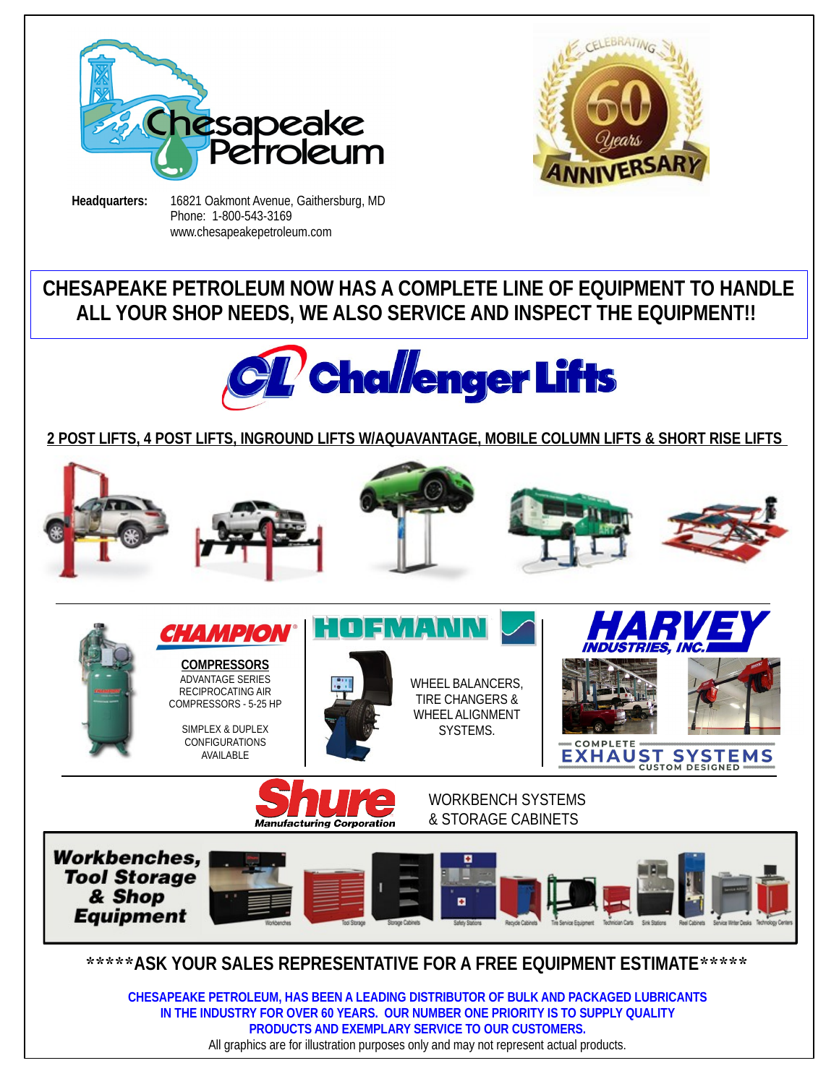



**Headquarters:** 16821 Oakmont Avenue, Gaithersburg, MD Phone: 1-800-543-3169 www.chesapeakepetroleum.com

# **CHESAPEAKE PETROLEUM NOW HAS A COMPLETE LINE OF EQUIPMENT TO HANDLE ALL YOUR SHOP NEEDS, WE ALSO SERVICE AND INSPECT THE EQUIPMENT!!**



### **2 POST LIFTS, 4 POST LIFTS, INGROUND LIFTS W/AQUAVANTAGE, MOBILE COLUMN LIFTS & SHORT RISE LIFTS**



**IN THE INDUSTRY FOR OVER 60 YEARS. OUR NUMBER ONE PRIORITY IS TO SUPPLY QUALITY PRODUCTS AND EXEMPLARY SERVICE TO OUR CUSTOMERS.**  All graphics are for illustration purposes only and may not represent actual products.